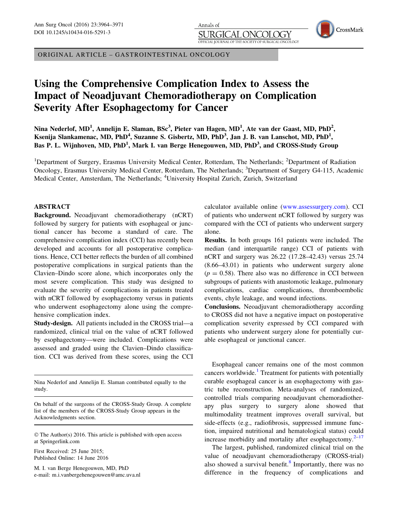ORIGINAL ARTICLE – GASTROINTESTINAL ONCOLOGY

# Using the Comprehensive Complication Index to Assess the Impact of Neoadjuvant Chemoradiotherapy on Complication Severity After Esophagectomy for Cancer

Nina Nederlof, MD<sup>1</sup>, Annelijn E. Slaman, BSc<sup>3</sup>, Pieter van Hagen, MD<sup>1</sup>, Ate van der Gaast, MD, PhD<sup>2</sup>, Ksenija Slankamenac, MD, PhD<sup>4</sup>, Suzanne S. Gisbertz, MD, PhD<sup>3</sup>, Jan J. B. van Lanschot, MD, PhD<sup>1</sup>, Bas P. L. Wijnhoven, MD, PhD<sup>1</sup>, Mark I. van Berge Henegouwen, MD, PhD<sup>3</sup>, and CROSS-Study Group

<sup>1</sup>Department of Surgery, Erasmus University Medical Center, Rotterdam, The Netherlands; <sup>2</sup>Department of Radiation Oncology, Erasmus University Medical Center, Rotterdam, The Netherlands; <sup>3</sup>Department of Surgery G4-115, Academic Medical Center, Amsterdam, The Netherlands; <sup>4</sup>University Hospital Zurich, Zurich, Switzerland

Annals of

OFFICIAL IOURNAL

### ABSTRACT

Background. Neoadjuvant chemoradiotherapy (nCRT) followed by surgery for patients with esophageal or junctional cancer has become a standard of care. The comprehensive complication index (CCI) has recently been developed and accounts for all postoperative complications. Hence, CCI better reflects the burden of all combined postoperative complications in surgical patients than the Clavien–Dindo score alone, which incorporates only the most severe complication. This study was designed to evaluate the severity of complications in patients treated with nCRT followed by esophagectomy versus in patients who underwent esophagectomy alone using the comprehensive complication index.

Study-design. All patients included in the CROSS trial—a randomized, clinical trial on the value of nCRT followed by esophagectomy—were included. Complications were assessed and graded using the Clavien–Dindo classification. CCI was derived from these scores, using the CCI

Nina Nederlof and Annelijn E. Slaman contributed equally to the study.

On behalf of the surgeons of the CROSS-Study Group. A complete list of the members of the CROSS-Study Group appears in the Acknowledgments section.

© The Author(s) 2016. This article is published with open access at Springerlink.com

First Received: 25 June 2015; Published Online: 14 June 2016

M. I. van Berge Henegouwen, MD, PhD e-mail: m.i.vanbergehenegouwen@amc.uva.nl calculator available online [\(www.assessurgery.com](http://www.assessurgery.com)). CCI of patients who underwent nCRT followed by surgery was compared with the CCI of patients who underwent surgery alone.

 $\bigcap$   $\bigcap$ 

SURGICAL ONCOLOGY

CrossMark

Results. In both groups 161 patients were included. The median (and interquartile range) CCI of patients with nCRT and surgery was 26.22 (17.28–42.43) versus 25.74 (8.66–43.01) in patients who underwent surgery alone  $(p = 0.58)$ . There also was no difference in CCI between subgroups of patients with anastomotic leakage, pulmonary complications, cardiac complications, thromboembolic events, chyle leakage, and wound infections.

Conclusions. Neoadjuvant chemoradiotherapy according to CROSS did not have a negative impact on postoperative complication severity expressed by CCI compared with patients who underwent surgery alone for potentially curable esophageal or junctional cancer.

Esophageal cancer remains one of the most common cancers worldwide.<sup>[1](#page-6-0)</sup> Treatment for patients with potentially curable esophageal cancer is an esophagectomy with gastric tube reconstruction. Meta-analyses of randomized, controlled trials comparing neoadjuvant chemoradiotherapy plus surgery to surgery alone showed that multimodality treatment improves overall survival, but side-effects (e.g., radiofibrosis, suppressed immune function, impaired nutritional and hematological status) could increase morbidity and mortality after esophagectomy. $2-17$  $2-17$  $2-17$ 

The largest, published, randomized clinical trial on the value of neoadjuvant chemoradiotherapy (CROSS-trial) also showed a survival benefit. $\frac{8}{3}$  $\frac{8}{3}$  $\frac{8}{3}$  Importantly, there was no difference in the frequency of complications and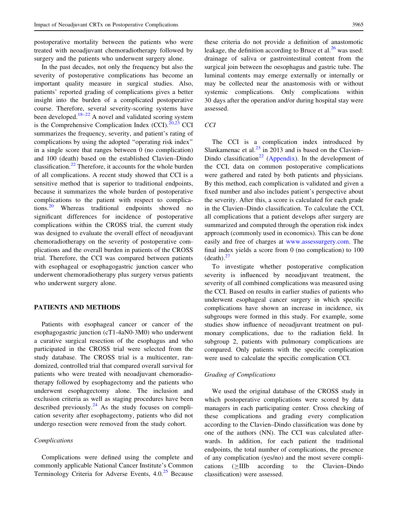postoperative mortality between the patients who were treated with neoadjuvant chemoradiotherapy followed by surgery and the patients who underwent surgery alone.

In the past decades, not only the frequency but also the severity of postoperative complications has become an important quality measure in surgical studies. Also, patients' reported grading of complications gives a better insight into the burden of a complicated postoperative course. Therefore, several severity-scoring systems have been developed. $18-22$  A novel and validated scoring system is the Comprehensive Complication Index  $(CCI)$ .<sup>[20,23](#page-7-0)</sup> CCI summarizes the frequency, severity, and patient's rating of complications by using the adopted ''operating risk index'' in a single score that ranges between 0 (no complication) and 100 (death) based on the established Clavien–Dindo classification.[22](#page-7-0) Therefore, it accounts for the whole burden of all complications. A recent study showed that CCI is a sensitive method that is superior to traditional endpoints, because it summarizes the whole burden of postoperative complications to the patient with respect to complications.[20](#page-7-0) Whereas traditional endpoints showed no significant differences for incidence of postoperative complications within the CROSS trial, the current study was designed to evaluate the overall effect of neoadjuvant chemoradiotherapy on the severity of postoperative complications and the overall burden in patients of the CROSS trial. Therefore, the CCI was compared between patients with esophageal or esophagogastric junction cancer who underwent chemoradiotherapy plus surgery versus patients who underwent surgery alone.

## PATIENTS AND METHODS

Patients with esophageal cancer or cancer of the esophagogastric junction (cT1-4aN0-3M0) who underwent a curative surgical resection of the esophagus and who participated in the CROSS trial were selected from the study database. The CROSS trial is a multicenter, randomized, controlled trial that compared overall survival for patients who were treated with neoadjuvant chemoradiotherapy followed by esophagectomy and the patients who underwent esophagectomy alone. The inclusion and exclusion criteria as well as staging procedures have been described previously.<sup>[24](#page-7-0)</sup> As the study focuses on complication severity after esophagectomy, patients who did not undergo resection were removed from the study cohort.

# Complications

Complications were defined using the complete and commonly applicable National Cancer Institute's Common Terminology Criteria for Adverse Events, 4.0.<sup>[25](#page-7-0)</sup> Because

these criteria do not provide a definition of anastomotic leakage, the definition according to Bruce et al. $^{26}$  $^{26}$  $^{26}$  was used: drainage of saliva or gastrointestinal content from the surgical join between the oesophagus and gastric tube. The luminal contents may emerge externally or internally or may be collected near the anastomosis with or without systemic complications. Only complications within 30 days after the operation and/or during hospital stay were assessed.

#### CCI

The CCI is a complication index introduced by Slankamenac et al. $^{23}$  $^{23}$  $^{23}$  in 2013 and is based on the Clavien– Dindo classification<sup>[22](#page-7-0)</sup> [\(Appendix\)](#page-6-0). In the development of the CCI, data on common postoperative complications were gathered and rated by both patients and physicians. By this method, each complication is validated and given a fixed number and also includes patient's perspective about the severity. After this, a score is calculated for each grade in the Clavien–Dindo classification. To calculate the CCI, all complications that a patient develops after surgery are summarized and computed through the operation risk index approach (commonly used in economics). This can be done easily and free of charges at [www.assessurgery.com](http://www.assessurgery.com). The final index yields a score from 0 (no complication) to 100  $(d$ eath). $27$ 

To investigate whether postoperative complication severity is influenced by neoadjuvant treatment, the severity of all combined complications was measured using the CCI. Based on results in earlier studies of patients who underwent esophageal cancer surgery in which specific complications have shown an increase in incidence, six subgroups were formed in this study. For example, some studies show influence of neoadjuvant treatment on pulmonary complications, due to the radiation field. In subgroup 2, patients with pulmonary complications are compared. Only patients with the specific complication were used to calculate the specific complication CCI.

#### Grading of Complications

We used the original database of the CROSS study in which postoperative complications were scored by data managers in each participating center. Cross checking of these complications and grading every complication according to the Clavien–Dindo classification was done by one of the authors (NN). The CCI was calculated afterwards. In addition, for each patient the traditional endpoints, the total number of complications, the presence of any complication (yes/no) and the most severe complications  $(\geq)$ IIIb according to the Clavien–Dindo classification) were assessed.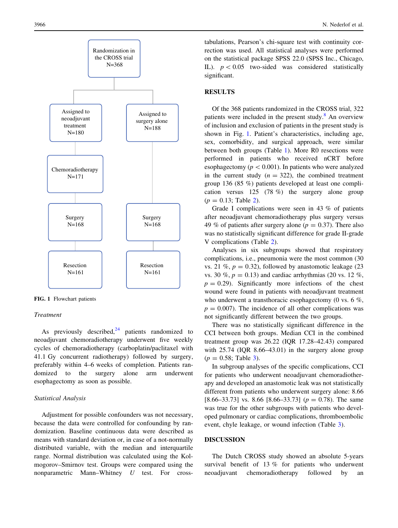

FIG. 1 Flowchart patients

## Treatment

As previously described, $24$  patients randomized to neoadjuvant chemoradiotherapy underwent five weekly cycles of chemoradiotherapy (carboplatin/paclitaxel with 41.1 Gy concurrent radiotherapy) followed by surgery, preferably within 4–6 weeks of completion. Patients randomized to the surgery alone arm underwent esophagectomy as soon as possible.

### Statistical Analysis

Adjustment for possible confounders was not necessary, because the data were controlled for confounding by randomization. Baseline continuous data were described as means with standard deviation or, in case of a not-normally distributed variable, with the median and interquartile range. Normal distribution was calculated using the Kolmogorov–Smirnov test. Groups were compared using the nonparametric Mann–Whitney U test. For crosstabulations, Pearson's chi-square test with continuity correction was used. All statistical analyses were performed on the statistical package SPSS 22.0 (SPSS Inc., Chicago, IL).  $p < 0.05$  two-sided was considered statistically significant.

# **RESULTS**

Of the 368 patients randomized in the CROSS trial, 322 patients were included in the present study.<sup>[8](#page-6-0)</sup> An overview of inclusion and exclusion of patients in the present study is shown in Fig. 1. Patient's characteristics, including age, sex, comorbidity, and surgical approach, were similar between both groups (Table [1](#page-3-0)). More R0 resections were performed in patients who received nCRT before esophagectomy ( $p < 0.001$ ). In patients who were analyzed in the current study  $(n = 322)$ , the combined treatment group 136 (85 %) patients developed at least one complication versus 125 (78 %) the surgery alone group  $(p = 0.13;$  Table [2\)](#page-4-0).

Grade I complications were seen in 43 % of patients after neoadjuvant chemoradiotherapy plus surgery versus 49 % of patients after surgery alone ( $p = 0.37$ ). There also was no statistically significant difference for grade II-grade V complications (Table [2\)](#page-4-0).

Analyses in six subgroups showed that respiratory complications, i.e., pneumonia were the most common (30 vs. 21 %,  $p = 0.32$ ), followed by anastomotic leakage (23 vs. 30 %,  $p = 0.13$ ) and cardiac arrhythmias (20 vs. 12 %,  $p = 0.29$ . Significantly more infections of the chest wound were found in patients with neoadjuvant treatment who underwent a transthoracic esophagectomy (0 vs. 6 %,  $p = 0.007$ ). The incidence of all other complications was not significantly different between the two groups.

There was no statistically significant difference in the CCI between both groups. Median CCI in the combined treatment group was 26.22 (IQR 17.28–42.43) compared with 25.74 (IQR 8.66–43.01) in the surgery alone group  $(p = 0.58;$  Table [3\)](#page-5-0).

In subgroup analyses of the specific complications, CCI for patients who underwent neoadjuvant chemoradiotherapy and developed an anastomotic leak was not statistically different from patients who underwent surgery alone: 8.66 [8.66–33.73] vs. 8.66 [8.66–33.73] ( $p = 0.78$ ). The same was true for the other subgroups with patients who developed pulmonary or cardiac complications, thromboembolic event, chyle leakage, or wound infection (Table [3\)](#page-5-0).

#### DISCUSSION

The Dutch CROSS study showed an absolute 5-years survival benefit of 13 % for patients who underwent neoadjuvant chemoradiotherapy followed by an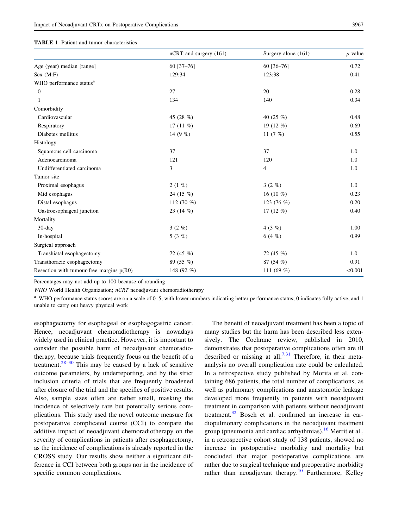<span id="page-3-0"></span>

| <b>TABLE 1</b> Patient and tumor characteristics |  |
|--------------------------------------------------|--|
|--------------------------------------------------|--|

|                                            | nCRT and surgery (161) | Surgery alone (161) | $p$ value |
|--------------------------------------------|------------------------|---------------------|-----------|
| Age (year) median [range]                  | $60$ [37-76]           | $60$ [36-76]        | 0.72      |
| Sex (M:F)                                  | 129:34                 | 123:38              | 0.41      |
| WHO performance status <sup>a</sup>        |                        |                     |           |
| $\boldsymbol{0}$                           | 27                     | 20                  | 0.28      |
| 1                                          | 134                    | 140                 | 0.34      |
| Comorbidity                                |                        |                     |           |
| Cardiovascular                             | 45 (28 %)              | 40 (25 %)           | 0.48      |
| Respiratory                                | 17 $(11\%)$            | 19 $(12 \%)$        | 0.69      |
| Diabetes mellitus                          | 14 (9 %)               | 11 $(7 \%)$         | 0.55      |
| Histology                                  |                        |                     |           |
| Squamous cell carcinoma                    | 37                     | 37                  | 1.0       |
| Adenocarcinoma                             | 121                    | 120                 | 1.0       |
| Undifferentiated carcinoma                 | 3                      | $\overline{4}$      | 1.0       |
| Tumor site                                 |                        |                     |           |
| Proximal esophagus                         | $2(1\%)$               | $3(2\%)$            | 1.0       |
| Mid esophagus                              | 24 (15 $%$ )           | 16 $(10\%)$         | 0.23      |
| Distal esophagus                           | 112 $(70\%$            | 123 $(76\%)$        | 0.20      |
| Gastroesophageal junction                  | 23 $(14\%)$            | 17 $(12 \%)$        | 0.40      |
| Mortality                                  |                        |                     |           |
| 30-day                                     | 3(2%)                  | 4 $(3, %)$          | 1.00      |
| In-hospital                                | 5 $(3 \%)$             | 6 $(4\%)$           | 0.99      |
| Surgical approach                          |                        |                     |           |
| Transhiatal esophagectomy                  | 72 $(45\%)$            | 72 $(45\%)$         | 1.0       |
| Transthoracic esophagectomy                | 89 (55 %)              | 87 (54 %)           | 0.91      |
| Resection with tumour-free margins $p(R0)$ | 148 (92 $%$ )          | 111 (69 %)          | < 0.001   |

Percentages may not add up to 100 because of rounding

WHO World Health Organization; nCRT neoadjuvant chemoradiotherapy

<sup>a</sup> WHO performance status scores are on a scale of 0–5, with lower numbers indicating better performance status; 0 indicates fully active, and 1 unable to carry out heavy physical work

esophagectomy for esophageal or esophagogastric cancer. Hence, neoadjuvant chemoradiotherapy is nowadays widely used in clinical practice. However, it is important to consider the possible harm of neoadjuvant chemoradiotherapy, because trials frequently focus on the benefit of a treatment.<sup>28–30</sup> This may be caused by a lack of sensitive outcome parameters, by underreporting, and by the strict inclusion criteria of trials that are frequently broadened after closure of the trial and the specifics of positive results. Also, sample sizes often are rather small, masking the incidence of selectively rare but potentially serious complications. This study used the novel outcome measure for postoperative complicated course (CCI) to compare the additive impact of neoadjuvant chemoradiotherapy on the severity of complications in patients after esophagectomy, as the incidence of complications is already reported in the CROSS study. Our results show neither a significant difference in CCI between both groups nor in the incidence of specific common complications.

The benefit of neoadjuvant treatment has been a topic of many studies but the harm has been described less extensively. The Cochrane review, published in 2010, demonstrates that postoperative complications often are ill described or missing at all.<sup>[7,](#page-6-0)[31](#page-7-0)</sup> Therefore, in their metaanalysis no overall complication rate could be calculated. In a retrospective study published by Morita et al. containing 686 patients, the total number of complications, as well as pulmonary complications and anastomotic leakage developed more frequently in patients with neoadjuvant treatment in comparison with patients without neoadjuvant treatment.[32](#page-7-0) Bosch et al. confirmed an increase in cardiopulmonary complications in the neoadjuvant treatment group (pneumonia and cardiac arrhythmias).<sup>[16](#page-6-0)</sup> Merrit et al., in a retrospective cohort study of 138 patients, showed no increase in postoperative morbidity and mortality but concluded that major postoperative complications are rather due to surgical technique and preoperative morbidity rather than neoadjuvant therapy.<sup>[10](#page-6-0)</sup> Furthermore, Kelley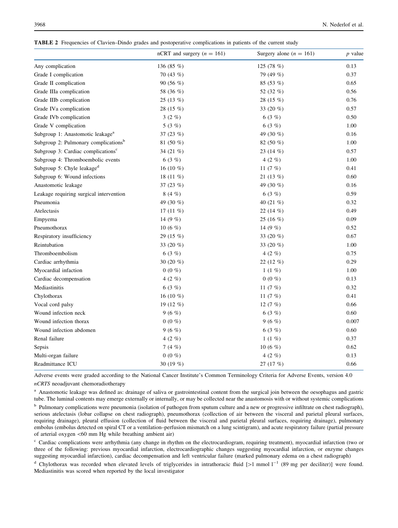<span id="page-4-0"></span>

| TABLE 2 Frequencies of Clavien-Dindo grades and postoperative complications in patients of the current study |  |  |  |  |
|--------------------------------------------------------------------------------------------------------------|--|--|--|--|
|--------------------------------------------------------------------------------------------------------------|--|--|--|--|

|                                                  | nCRT and surgery $(n = 161)$ | Surgery alone $(n = 161)$ | $p$ value |
|--------------------------------------------------|------------------------------|---------------------------|-----------|
| Any complication                                 | 136 $(85\%)$                 | 125 $(78%)$               | 0.13      |
| Grade I complication                             | 70 $(43\%)$                  | 79 (49 %)                 | 0.37      |
| Grade II complication                            | 90 (56 %)                    | 85 (53 %)                 | 0.65      |
| Grade IIIa complication                          | 58 (36 %)                    | 52 (32 %)                 | 0.56      |
| Grade IIIb complication                          | 25 (13 %)                    | 28 (15 %)                 | 0.76      |
| Grade IVa complication                           | 28 $(15 \%)$                 | 33 (20 %)                 | 0.57      |
| Grade IVb complication                           | $3(2\%)$                     | 6 $(3 \%)$                | 0.50      |
| Grade V complication                             | 5 $(3 \%)$                   | 6 $(3 \%)$                | 1.00      |
| Subgroup 1: Anastomotic leakage <sup>a</sup>     | 37 $(23\%)$                  | 49 (30 %)                 | 0.16      |
| Subgroup 2: Pulmonary complications <sup>b</sup> | 81 $(50\%$                   | 82 (50 %)                 | 1.00      |
| Subgroup 3: Cardiac complications <sup>c</sup>   | 34 $(21\%$                   | 23 $(14\%)$               | 0.57      |
| Subgroup 4: Thromboembolic events                | 6 $(3 \%)$                   | 4 $(2 \%)$                | 1.00      |
| Subgroup 5: Chyle leakage <sup>d</sup>           | 16 $(10 \%)$                 | 11 $(7 \%)$               | 0.41      |
| Subgroup 6: Wound infections                     | 18 $(11\%)$                  | 21 $(13 \%)$              | 0.60      |
| Anastomotic leakage                              | 37 $(23 \%)$                 | 49 (30 %)                 | 0.16      |
| Leakage requiring surgical intervention          | 8(4%)                        | 6 $(3 \%)$                | 0.59      |
| Pneumonia                                        | 49 (30 %)                    | 40 (21 %)                 | 0.32      |
| Atelectasis                                      | 17 $(11\%)$                  | 22 (14 %)                 | 0.49      |
| Empyema                                          | 14 $(9 \%)$                  | 25 $(16 \%)$              | 0.09      |
| Pneumothorax                                     | 10 $(6 \%)$                  | 14 (9 $%$ )               | 0.52      |
| Respiratory insufficiency                        | 29 $(15 \%)$                 | 33 $(20\%$                | 0.67      |
| Reintubation                                     | 33 $(20\%$                   | 33 $(20\%$                | 1.00      |
| Thromboembolism                                  | 6 $(3 \%)$                   | 4 $(2 \%)$                | 0.75      |
| Cardiac arrhythmia                               | 30 $(20\%$                   | 22 (12 %)                 | 0.29      |
| Myocardial infaction                             | $0(0\%)$                     | $1(1\%)$                  | 1.00      |
| Cardiac decompensation                           | 4 $(2 \% )$                  | $0(0\%)$                  | 0.13      |
| Mediastinitis                                    | 6 $(3 \%)$                   | 11 $(7 \%)$               | 0.32      |
| Chylothorax                                      | 16 $(10 \%)$                 | 11 $(7 \%)$               | 0.41      |
| Vocal cord palsy                                 | 19 $(12 \%)$                 | 12 $(7 \%)$               | 0.66      |
| Wound infection neck                             | 9(6%)                        | 6 $(3 \%)$                | 0.60      |
| Wound infection thorax                           | $0(0\%)$                     | 9(6%)                     | 0.007     |
| Wound infection abdomen                          | 9(6%)                        | 6 $(3 \%)$                | 0.60      |
| Renal failure                                    | 4(2%)                        | 1 $(1 \%)$                | 0.37      |
| Sepsis                                           | 7 $(4 \%)$                   | 10 $(6 \%)$               | 0.62      |
| Multi-organ failure                              | $0(0\%)$                     | 4 $(2 \%)$                | 0.13      |
| Readmittance ICU                                 | 30 $(19\%)$                  | 27(17%)                   | 0.66      |

Adverse events were graded according to the National Cancer Institute's Common Terminology Criteria for Adverse Events, version 4.0 nCRTS neoadjuvant chemoradiotherapy

<sup>a</sup> Anastomotic leakage was defined as: drainage of saliva or gastrointestinal content from the surgical join between the oesophagus and gastric tube. The luminal contents may emerge externally or internally, or may be collected near the anastomosis with or without systemic complications

<sup>b</sup> Pulmonary complications were pneumonia (isolation of pathogen from sputum culture and a new or progressive infiltrate on chest radiograph), serious atelectasis (lobar collapse on chest radiograph), pneumothorax (collection of air between the visceral and parietal pleural surfaces, requiring drainage), pleural effusion (collection of fluid between the visceral and parietal pleural surfaces, requiring drainage), pulmonary embolus (embolus detected on spiral CT or a ventilation–perfusion mismatch on a lung scintigram), and acute respiratory failure (partial pressure of arterial oxygen  $\leq 60$  mm Hg while breathing ambient air)

<sup>c</sup> Cardiac complications were arrhythmia (any change in rhythm on the electrocardiogram, requiring treatment), myocardial infarction (two or three of the following: previous myocardial infarction, electrocardiographic changes suggesting myocardial infarction, or enzyme changes suggesting myocardial infarction), cardiac decompensation and left ventricular failure (marked pulmonary edema on a chest radiograph)

<sup>d</sup> Chylothorax was recorded when elevated levels of triglycerides in intrathoracic fluid [>1 mmol  $1^{-1}$  (89 mg per deciliter)] were found. Mediastinitis was scored when reported by the local investigator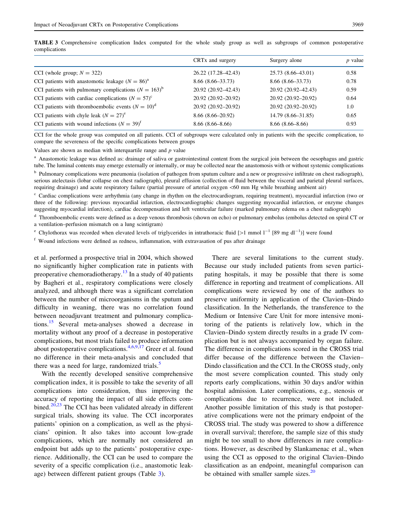<span id="page-5-0"></span>

|               | TABLE 3 Comprehensive complication Index computed for the whole study group as well as subgroups of common postoperative |  |  |  |  |  |  |  |  |
|---------------|--------------------------------------------------------------------------------------------------------------------------|--|--|--|--|--|--|--|--|
| complications |                                                                                                                          |  |  |  |  |  |  |  |  |

|                                                         | CRT <sub>x</sub> and surgery | Surgery alone       | <i>p</i> value |
|---------------------------------------------------------|------------------------------|---------------------|----------------|
| CCI (whole group; $N = 322$ )                           | 26.22 (17.28–42.43)          | 25.73 (8.66–43.01)  | 0.58           |
| CCI patients with anastomotic leakage $(N = 86)^a$      | $8.66(8.66-33.73)$           | $8.66(8.66-33.73)$  | 0.78           |
| CCI patients with pulmonary complications $(N = 163)^b$ | 20.92 (20.92-42.43)          | 20.92 (20.92-42.43) | 0.59           |
| CCI patients with cardiac complications $(N = 57)^c$    | 20.92 (20.92-20.92)          | 20.92 (20.92-20.92) | 0.64           |
| CCI patients with thromboembolic events $(N = 10)^d$    | 20.92 (20.92-20.92)          | 20.92 (20.92-20.92) | 1.0            |
| CCI patients with chyle leak $(N = 27)^e$               | $8.66(8.66-20.92)$           | 14.79 (8.66–31.85)  | 0.65           |
| CCI patients with wound infections $(N = 39)^{t}$       | $8.66(8.66 - 8.66)$          | $8.66(8.66 - 8.66)$ | 0.93           |

CCI for the whole group was computed on all patients. CCI of subgroups were calculated only in patients with the specific complication, to compare the severeness of the specific complications between groups

Values are shown as median with interquartile range and  $p$  value

<sup>a</sup> Anastomotic leakage was defined as: drainage of saliva or gastrointestinal content from the surgical join between the oesophagus and gastric tube. The luminal contents may emerge externally or internally, or may be collected near the anastomosis with or without systemic complications

<sup>b</sup> Pulmonary complications were pneumonia (isolation of pathogen from sputum culture and a new or progressive infiltrate on chest radiograph), serious atelectasis (lobar collapse on chest radiograph), pleural effusion (collection of fluid between the visceral and parietal pleural surfaces, requiring drainage) and acute respiratory failure (partial pressure of arterial oxygen\60 mm Hg while breathing ambient air)

<sup>c</sup> Cardiac complications were arrhythmia (any change in rhythm on the electrocardiogram, requiring treatment), myocardial infarction (two or three of the following: previous myocardial infarction, electrocardiographic changes suggesting myocardial infarction, or enzyme changes suggesting myocardial infarction), cardiac decompensation and left ventricular failure (marked pulmonary edema on a chest radiograph)

<sup>d</sup> Thromboembolic events were defined as a deep venous thrombosis (shown on echo) or pulmonary embolus (embolus detected on spiral CT or a ventilation–perfusion mismatch on a lung scintigram)

<sup>e</sup> Chylothorax was recorded when elevated levels of triglycerides in intrathoracic fluid [>1 mmol  $1^{-1}$  [89 mg dl<sup>-1</sup>)] were found

<sup>f</sup> Wound infections were defined as redness, inflammation, with extravasation of pus after drainage

et al. performed a prospective trial in 2004, which showed no significantly higher complication rate in patients with preoperative chemoradiotherapy.[13](#page-6-0) In a study of 40 patients by Bagheri et al., respiratory complications were closely analyzed, and although there was a significant correlation between the number of microorganisms in the sputum and difficulty in weaning, there was no correlation found between neoadjuvant treatment and pulmonary complications.[15](#page-6-0) Several meta-analyses showed a decrease in mortality without any proof of a decrease in postoperative complications, but most trials failed to produce information about postoperative complications.  $4,6,9,17$  Greer et al. found no difference in their meta-analysis and concluded that there was a need for large, randomized trials.<sup>[5](#page-6-0)</sup>

With the recently developed sensitive comprehensive complication index, it is possible to take the severity of all complications into consideration, thus improving the accuracy of reporting the impact of all side effects combined. $20,23$  The CCI has been validated already in different surgical trials, showing its value. The CCI incorporates patients' opinion on a complication, as well as the physicians' opinion. It also takes into account low-grade complications, which are normally not considered an endpoint but adds up to the patients' postoperative experience. Additionally, the CCI can be used to compare the severity of a specific complication (i.e., anastomotic leakage) between different patient groups (Table 3).

There are several limitations to the current study. Because our study included patients from seven participating hospitals, it may be possible that there is some difference in reporting and treatment of complications. All complications were reviewed by one of the authors to preserve uniformity in application of the Clavien–Dindo classification. In the Netherlands, the transference to the Medium or Intensive Care Unit for more intensive monitoring of the patients is relatively low, which in the Clavien–Dindo system directly results in a grade IV complication but is not always accompanied by organ failure. The difference in complications scored in the CROSS trial differ because of the difference between the Clavien– Dindo classification and the CCI. In the CROSS study, only the most severe complication counted. This study only reports early complications, within 30 days and/or within hospital admission. Later complications, e.g., stenosis or complications due to recurrence, were not included. Another possible limitation of this study is that postoperative complications were not the primary endpoint of the CROSS trial. The study was powered to show a difference in overall survival; therefore, the sample size of this study might be too small to show differences in rare complications. However, as described by Slankamenac et al., when using the CCI as opposed to the original Clavien–Dindo classification as an endpoint, meaningful comparison can be obtained with smaller sample sizes.<sup>[20](#page-7-0)</sup>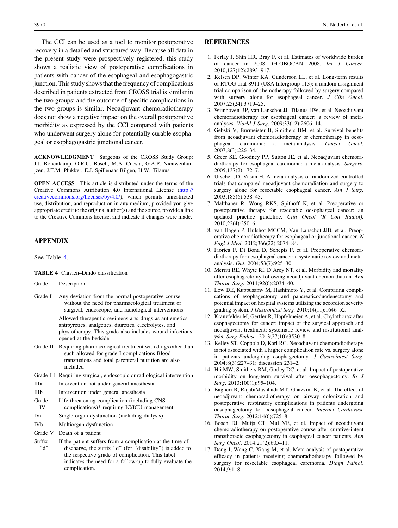<span id="page-6-0"></span>The CCI can be used as a tool to monitor postoperative recovery in a detailed and structured way. Because all data in the present study were prospectively registered, this study shows a realistic view of postoperative complications in patients with cancer of the esophageal and esophagogastric junction. This study shows that the frequency of complications described in patients extracted from CROSS trial is similar in the two groups; and the outcome of specific complications in the two groups is similar. Neoadjuvant chemoradiotherapy does not show a negative impact on the overall postoperative morbidity as expressed by the CCI compared with patients who underwent surgery alone for potentially curable esophageal or esophagogastric junctional cancer.

ACKNOWLEDGMENT Surgeons of the CROSS Study Group: J.J. Bonenkamp, O.R.C. Busch, M.A. Cuesta, G.A.P. Nieuwenhuijzen, J.T.M. Plukker, E.J. Spillenaar Bilgen, H.W. Tilanus.

OPEN ACCESS This article is distributed under the terms of the Creative Commons Attribution 4.0 International License ([http://](http://creativecommons.org/licenses/by/4.0/) [creativecommons.org/licenses/by/4.0/\)](http://creativecommons.org/licenses/by/4.0/), which permits unrestricted use, distribution, and reproduction in any medium, provided you give appropriate credit to the original author(s) and the source, provide a link to the Creative Commons license, and indicate if changes were made.

### APPENDIX

See Table 4.

TABLE 4 Clavien–Dindo classification

| Grade                 | Description                                                                                                                                                                                                                                            |  |  |  |  |  |  |  |
|-----------------------|--------------------------------------------------------------------------------------------------------------------------------------------------------------------------------------------------------------------------------------------------------|--|--|--|--|--|--|--|
| Grade I               | Any deviation from the normal postoperative course<br>without the need for pharmacological treatment or<br>surgical, endoscopic, and radiological interventions                                                                                        |  |  |  |  |  |  |  |
|                       | Allowed therapeutic regimens are: drugs as antiemetics,<br>antipyretics, analgetics, diuretics, electrolytes, and<br>physiotherapy. This grade also includes wound infections<br>opened at the bedside                                                 |  |  |  |  |  |  |  |
| Grade II              | Requiring pharmacological treatment with drugs other than<br>such allowed for grade I complications Blood<br>transfusions and total parenteral nutrition are also<br>included                                                                          |  |  |  |  |  |  |  |
|                       | Grade III Requiring surgical, endoscopic or radiological intervention                                                                                                                                                                                  |  |  |  |  |  |  |  |
| Шa                    | Intervention not under general anesthesia                                                                                                                                                                                                              |  |  |  |  |  |  |  |
| <b>IIIb</b>           | Intervention under general anesthesia                                                                                                                                                                                                                  |  |  |  |  |  |  |  |
| Grade<br>IV           | Life-threatening complication (including CNS<br>complications)* requiring IC/ICU management                                                                                                                                                            |  |  |  |  |  |  |  |
| <b>IVa</b>            | Single organ dysfunction (including dialysis)                                                                                                                                                                                                          |  |  |  |  |  |  |  |
| <b>IV<sub>b</sub></b> | Multiorgan dysfunction                                                                                                                                                                                                                                 |  |  |  |  |  |  |  |
|                       | Grade V Death of a patient                                                                                                                                                                                                                             |  |  |  |  |  |  |  |
| Suffix<br>"ሐ"         | If the patient suffers from a complication at the time of<br>discharge, the suffix "d" (for "disability") is added to<br>the respective grade of complication. This label<br>indicates the need for a follow-up to fully evaluate the<br>complication. |  |  |  |  |  |  |  |

#### REFERENCES

- 1. Ferlay J, Shin HR, Bray F, et al. Estimates of worldwide burden of cancer in 2008: GLOBOCAN 2008. Int J Cancer. 2010;127(12):2893–917.
- 2. Kelsen DP, Winter KA, Gunderson LL, et al. Long-term results of RTOG trial 8911 (USA Intergroup 113): a random assignment trial comparison of chemotherapy followed by surgery compared with surgery alone for esophageal cancer. J Clin Oncol. 2007;25(24):3719–25.
- 3. Wijnhoven BP, van Lanschot JJ, Tilanus HW, et al. Neoadjuvant chemoradiotherapy for esophageal cancer: a review of metaanalyses. World J Surg. 2009;33(12):2606–14.
- 4. Gebski V, Burmeister B, Smithers BM, et al. Survival benefits from neoadjuvant chemoradiotherapy or chemotherapy in oesophageal carcinoma: a meta-analysis. Lancet Oncol. 2007;8(3):226–34.
- 5. Greer SE, Goodney PP, Sutton JE, et al. Neoadjuvant chemoradiotherapy for esophageal carcinoma: a meta-analysis. Surgery. 2005;137(2):172–7.
- 6. Urschel JD, Vasan H. A meta-analysis of randomized controlled trials that compared neoadjuvant chemoradiation and surgery to surgery alone for resectable esophageal cancer. Am J Surg. 2003;185(6):538–43.
- 7. Malthaner R, Wong RKS, Spithoff K, et al. Preoperative or postoperative therapy for resectable oesophageal cancer: an updated practice guideline. Clin Oncol (R Coll Radiol). 2010;22(4):250–6.
- 8. van Hagen P, Hulshof MCCM, Van Lanschot JJB, et al. Preoperative chemoradiotherapy for esophageal or junctional cancer. N Engl J Med. 2012;366(22):2074–84.
- 9. Fiorica F, Di Bona D, Schepis F, et al. Preoperative chemoradiotherapy for oesophageal cancer: a systematic review and metaanalysis. Gut. 2004;53(7):925–30.
- 10. Merritt RE, Whyte RI, D'Arcy NT, et al. Morbidity and mortality after esophagectomy following neoadjuvant chemoradiation. Ann Thorac Surg. 2011;92(6):2034–40.
- 11. Low DE, Kuppusamy M, Hashimoto Y, et al. Comparing complications of esophagectomy and pancreaticoduodenectomy and potential impact on hospital systems utilizing the accordion severity grading system. J Gastrointest Surg. 2010;14(11):1646–52.
- 12. Kranzfelder M, Gertler R, Hapfelmeier A, et al. Chylothorax after esophagectomy for cancer: impact of the surgical approach and neoadjuvant treatment: systematic review and institutional analysis. Surg Endosc. 2013;27(10):3530–8.
- 13. Kelley ST, Coppola D, Karl RC. Neoadjuvant chemoradiotherapy is not associated with a higher complication rate vs. surgery alone in patients undergoing esophagectomy. J Gastrointest Surg. 2004;8(3):227–31; discussion 231–2.
- 14. Hii MW, Smithers BM, Gotley DC, et al. Impact of postoperative morbidity on long-term survival after oesophagectomy. Br J Surg. 2013;100(1):95–104.
- 15. Bagheri R, RajabiMashhadi MT, Ghazvini K, et al. The effect of neoadjuvant chemoradiotherapy on airway colonization and postoperative respiratory complications in patients undergoing oesophagectomy for oesophageal cancer. Interact Cardiovasc Thorac Surg. 2012;14(6):725–8.
- 16. Bosch DJ, Muijs CT, Mul VE, et al. Impact of neoadjuvant chemoradiotherapy on postoperative course after curative-intent transthoracic esophagectomy in esophageal cancer patients. Ann Surg Oncol. 2014;21(2):605–11.
- 17. Deng J, Wang C, Xiang M, et al. Meta-analysis of postoperative efficacy in patients receiving chemoradiotherapy followed by surgery for resectable esophageal carcinoma. Diagn Pathol. 2014;9:1–8.